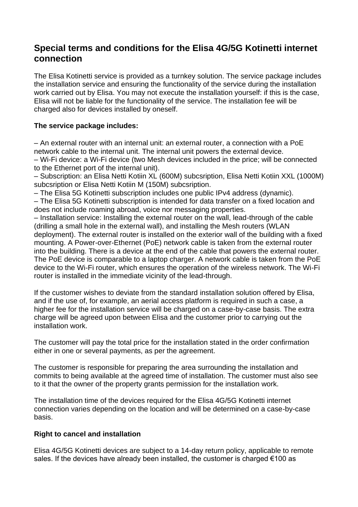# **Special terms and conditions for the Elisa 4G/5G Kotinetti internet connection**

The Elisa Kotinetti service is provided as a turnkey solution. The service package includes the installation service and ensuring the functionality of the service during the installation work carried out by Elisa. You may not execute the installation yourself: if this is the case, Elisa will not be liable for the functionality of the service. The installation fee will be charged also for devices installed by oneself.

## **The service package includes:**

– An external router with an internal unit: an external router, a connection with a PoE network cable to the internal unit. The internal unit powers the external device. – Wi-Fi device: a Wi-Fi device (two Mesh devices included in the price; will be connected

to the Ethernet port of the internal unit).

– Subscription: an Elisa Netti Kotiin XL (600M) subcsription, Elisa Netti Kotiin XXL (1000M) subcsription or Elisa Netti Kotiin M (150M) subcsription.

– The Elisa 5G Kotinetti subscription includes one public IPv4 address (dynamic).

– The Elisa 5G Kotinetti subscription is intended for data transfer on a fixed location and does not include roaming abroad, voice nor messaging properties.

– Installation service: Installing the external router on the wall, lead-through of the cable (drilling a small hole in the external wall), and installing the Mesh routers (WLAN deployment). The external router is installed on the exterior wall of the building with a fixed mounting. A Power-over-Ethernet (PoE) network cable is taken from the external router into the building. There is a device at the end of the cable that powers the external router. The PoE device is comparable to a laptop charger. A network cable is taken from the PoE device to the Wi-Fi router, which ensures the operation of the wireless network. The Wi-Fi router is installed in the immediate vicinity of the lead-through.

If the customer wishes to deviate from the standard installation solution offered by Elisa, and if the use of, for example, an aerial access platform is required in such a case, a higher fee for the installation service will be charged on a case-by-case basis. The extra charge will be agreed upon between Elisa and the customer prior to carrying out the installation work.

The customer will pay the total price for the installation stated in the order confirmation either in one or several payments, as per the agreement.

The customer is responsible for preparing the area surrounding the installation and commits to being available at the agreed time of installation. The customer must also see to it that the owner of the property grants permission for the installation work.

The installation time of the devices required for the Elisa 4G/5G Kotinetti internet connection varies depending on the location and will be determined on a case-by-case basis.

### **Right to cancel and installation**

Elisa 4G/5G Kotinetti devices are subject to a 14-day return policy, applicable to remote sales. If the devices have already been installed, the customer is charged €100 as